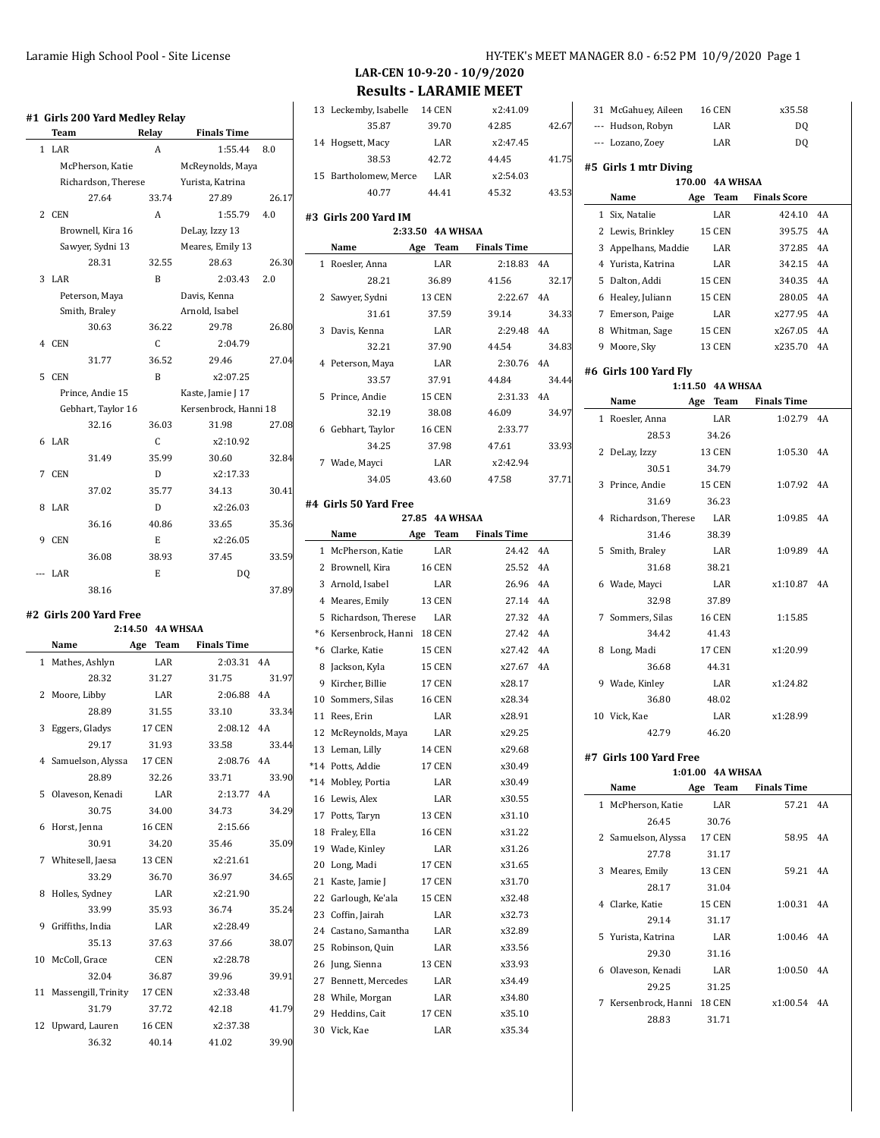|   | Team    |                     | Relay | <b>Finals Time</b>    |       |
|---|---------|---------------------|-------|-----------------------|-------|
|   | $1$ LAR |                     | A     | 1:55.44               | 8.0   |
|   |         | McPherson, Katie    |       | McReynolds, Maya      |       |
|   |         | Richardson, Therese |       | Yurista, Katrina      |       |
|   |         | 27.64               | 33.74 | 27.89                 | 26.17 |
|   | 2 CEN   |                     | A     | 1:55.79               | 4.0   |
|   |         | Brownell, Kira 16   |       | DeLay, Izzy 13        |       |
|   |         | Sawyer, Sydni 13    |       | Meares, Emily 13      |       |
|   |         | 28.31               | 32.55 | 28.63                 | 26.30 |
|   | 3 LAR   |                     | R     | 2:03.43               | 2.0   |
|   |         | Peterson, Maya      |       | Davis, Kenna          |       |
|   |         | Smith, Braley       |       | Arnold, Isabel        |       |
|   |         | 30.63               | 36.22 | 29.78                 | 26.80 |
|   | 4 CEN   |                     | C.    | 2:04.79               |       |
|   |         | 31.77               | 36.52 | 29.46                 | 27.04 |
|   | 5 CEN   |                     | R     | x2:07.25              |       |
|   |         | Prince, Andie 15    |       | Kaste, Jamie J 17     |       |
|   |         | Gebhart, Taylor 16  |       | Kersenbrock, Hanni 18 |       |
|   |         | 32.16               | 36.03 | 31.98                 | 27.08 |
|   | 6 LAR   |                     | C.    | x2:10.92              |       |
|   |         | 31.49               | 35.99 | 30.60                 | 32.84 |
| 7 | CEN.    |                     | D     | x2:17.33              |       |
|   |         | 37.02               | 35.77 | 34.13                 | 30.41 |
|   | 8 LAR   |                     | D     | x2:26.03              |       |
|   |         | 36.16               | 40.86 | 33.65                 | 35.36 |
| 9 | CEN     |                     | E     | x2:26.05              |       |

## **#2 Girls 200 Yard Free**

### **2:14.50 4A WHSAA**

--- LAR E DQ

|              | Name                | Age<br>Team   | <b>Finals Time</b> |       |
|--------------|---------------------|---------------|--------------------|-------|
| $\mathbf{1}$ | Mathes, Ashlyn      | <b>LAR</b>    | $2:03.31$ 4A       |       |
|              | 28.32               | 31.27         | 31.75              | 31.97 |
| 2            | Moore, Libby        | LAR           | 2:06.88            | 4A    |
|              | 28.89               | 31.55         | 33.10              | 33.34 |
| 3            | Eggers, Gladys      | <b>17 CEN</b> | 2:08.12            | 4A    |
|              | 29.17               | 31.93         | 33.58              | 33.44 |
|              | 4 Samuelson, Alyssa | 17 CEN        | 2:08.76 4A         |       |
|              | 28.89               | 32.26         | 33.71              | 33.90 |
| 5            | Olaveson, Kenadi    | LAR           | 2:13.77 4A         |       |
|              | 30.75               | 34.00         | 34.73              | 34.29 |
| 6            | Horst, Jenna        | <b>16 CEN</b> | 2:15.66            |       |
|              | 30.91               | 34.20         | 35.46              | 35.09 |
|              | 7 Whitesell, Jaesa  | 13 CEN        | x2:21.61           |       |
|              | 33.29               | 36.70         | 36.97              | 34.65 |
| 8            | Holles, Sydney      | LAR           | x2:21.90           |       |
|              | 33.99               | 35.93         | 36.74              | 35.24 |
| 9            | Griffiths, India    | <b>LAR</b>    | x2:28.49           |       |
|              | 35.13               | 37.63         | 37.66              | 38.07 |
| 10           | McColl, Grace       | <b>CEN</b>    | x2:28.78           |       |
|              | 32.04               | 36.87         | 39.96              | 39.91 |
| 11           | Massengill, Trinity | <b>17 CEN</b> | x2:33.48           |       |
|              | 31.79               | 37.72         | 42.18              | 41.79 |
| 12           | Upward, Lauren      | <b>16 CEN</b> | x2:37.38           |       |
|              | 36.32               | 40.14         | 41.02              | 39.90 |

31 McGahuey, Aileen 16 CEN x35.58

### **LAR-CEN 10-9-20 - 10/9/2020 Results - LARAMIE MEET**

| 0 Yard Medley Relay |                  |                       |       |    | 13 Leckemby, Isabelle               | <b>14 CEN</b>    | x2:41.09           |       |  |
|---------------------|------------------|-----------------------|-------|----|-------------------------------------|------------------|--------------------|-------|--|
|                     | Relay            | <b>Finals Time</b>    |       |    | 35.87                               | 39.70            | 42.85              | 42.67 |  |
|                     | A                | 1:55.44               | 8.0   |    | 14 Hogsett, Macy                    | LAR              | x2:47.45           |       |  |
| erson, Katie        |                  | McReynolds, Maya      |       |    | 38.53                               | 42.72            | 44.45              | 41.75 |  |
| rdson, Therese      |                  | Yurista, Katrina      |       |    | 15 Bartholomew, Merce               | LAR              | x2:54.03           |       |  |
| 27.64               | 33.74            | 27.89                 | 26.17 |    | 40.77                               | 44.41            | 45.32              | 43.53 |  |
|                     | A                | 1:55.79               | 4.0   |    | #3 Girls 200 Yard IM                |                  |                    |       |  |
| iell, Kira 16       |                  | DeLay, Izzy 13        |       |    |                                     | 2:33.50 4A WHSAA |                    |       |  |
| er, Sydni 13        |                  | Meares, Emily 13      |       |    | Name                                | Team<br>Age      | <b>Finals Time</b> |       |  |
| 28.31               | 32.55            | 28.63                 | 26.30 |    | 1 Roesler, Anna                     | LAR              | 2:18.83            | 4A    |  |
|                     | $\mathbf B$      | 2:03.43               | 2.0   |    | 28.21                               | 36.89            | 41.56              | 32.17 |  |
| son, Maya           |                  | Davis, Kenna          |       |    | 2 Sawyer, Sydni                     | <b>13 CEN</b>    | 2:22.67            | 4A    |  |
| , Braley            |                  | Arnold, Isabel        |       |    | 31.61                               | 37.59            | 39.14              | 34.33 |  |
| 30.63               | 36.22            | 29.78                 | 26.80 |    |                                     |                  | 2:29.48            | 4A    |  |
|                     | C                | 2:04.79               |       |    | 3 Davis, Kenna                      | LAR              |                    |       |  |
| 31.77               | 36.52            | 29.46                 | 27.04 |    | 32.21                               | 37.90            | 44.54              | 34.83 |  |
|                     | B                | x2:07.25              |       |    | 4 Peterson, Maya                    | LAR              | 2:30.76 4A         |       |  |
| e, Andie 15         |                  | Kaste, Jamie J 17     |       |    | 33.57                               | 37.91            | 44.84              | 34.44 |  |
| rt, Taylor 16       |                  | Kersenbrock, Hanni 18 |       |    | 5 Prince, Andie                     | <b>15 CEN</b>    | 2:31.33 4A         |       |  |
| 32.16               | 36.03            | 31.98                 | 27.08 |    | 32.19                               | 38.08            | 46.09              | 34.97 |  |
|                     | C                | x2:10.92              |       |    | 6 Gebhart, Taylor                   | <b>16 CEN</b>    | 2:33.77            |       |  |
| 31.49               | 35.99            | 30.60                 | 32.84 |    | 34.25                               | 37.98            | 47.61              | 33.93 |  |
|                     | D                | x2:17.33              |       |    | 7 Wade, Mayci                       | LAR              | x2:42.94           |       |  |
|                     | 35.77            | 34.13                 | 30.41 |    | 34.05                               | 43.60            | 47.58              | 37.71 |  |
| 37.02               |                  |                       |       |    | #4 Girls 50 Yard Free               |                  |                    |       |  |
|                     | D                | x2:26.03              |       |    |                                     | 27.85 4A WHSAA   |                    |       |  |
| 36.16               | 40.86            | 33.65                 | 35.36 |    | Name                                | Age Team         | <b>Finals Time</b> |       |  |
|                     | E                | x2:26.05              |       |    | 1 McPherson, Katie                  | LAR              | 24.42 4A           |       |  |
| 36.08               | 38.93            | 37.45                 | 33.59 |    | 2 Brownell, Kira                    | <b>16 CEN</b>    | 25.52 4A           |       |  |
|                     | E                | DQ                    |       |    | 3 Arnold, Isabel                    | LAR              | 26.96              | 4A    |  |
| 38.16               |                  |                       | 37.89 |    | 4 Meares, Emily                     | <b>13 CEN</b>    | 27.14 4A           |       |  |
| 0 Yard Free         |                  |                       |       |    | 5 Richardson, Therese               | LAR              | 27.32              | 4A    |  |
|                     | 2:14.50 4A WHSAA |                       |       |    | *6 Kersenbrock, Hanni 18 CEN        |                  | 27.42 4A           |       |  |
|                     | Age<br>Team      | <b>Finals Time</b>    |       |    | *6 Clarke, Katie                    | <b>15 CEN</b>    | x27.42             | 4A    |  |
| Ashlyn              | LAR              | 2:03.31               | 4A    |    | 8 Jackson, Kyla                     | <b>15 CEN</b>    | x27.67             | 4A    |  |
| 28.32               | 31.27            | 31.75                 | 31.97 |    | 9 Kircher, Billie                   | <b>17 CEN</b>    | x28.17             |       |  |
| libby               | LAR              | 2:06.88               | 4A    |    | 10 Sommers, Silas                   | <b>16 CEN</b>    | x28.34             |       |  |
| 28.89               | 31.55            | 33.10                 | 33.34 |    | 11 Rees, Erin                       | LAR              | x28.91             |       |  |
| Gladys              | <b>17 CEN</b>    | 2:08.12               | 4A    |    | 12 McReynolds, Maya                 | LAR              | x29.25             |       |  |
| 29.17               | 31.93            | 33.58                 | 33.44 |    |                                     |                  | x29.68             |       |  |
| on, Alyssa          | <b>17 CEN</b>    | 2:08.76 4A            |       |    | 13 Leman, Lilly<br>*14 Potts, Addie | 14 CEN<br>17 CEN | x30.49             |       |  |
| 28.89               | 32.26            | 33.71                 | 33.90 |    | *14 Mobley, Portia                  | LAR              | x30.49             |       |  |
| n, Kenadi           | LAR              | 2:13.77               | 4A    |    | 16 Lewis, Alex                      | LAR              | x30.55             |       |  |
| 30.75               | 34.00            | 34.73                 | 34.29 |    | 17 Potts, Taryn                     | 13 CEN           |                    |       |  |
| enna                | 16 CEN           | 2:15.66               |       |    | 18 Fraley, Ella                     |                  | x31.10             |       |  |
| 30.91               | 34.20            | 35.46                 | 35.09 |    |                                     | <b>16 CEN</b>    | x31.22             |       |  |
| ll, Jaesa           | 13 CEN           | x2:21.61              |       | 19 | Wade, Kinley                        | LAR              | x31.26             |       |  |
| 33.29               | 36.70            | 36.97                 | 34.65 | 20 | Long, Madi                          | 17 CEN           | x31.65             |       |  |
| ydney               | LAR              | x2:21.90              |       | 21 | Kaste, Jamie J                      | 17 CEN           | x31.70             |       |  |
| 33.99               | 35.93            | 36.74                 | 35.24 | 22 | Garlough, Ke'ala                    | 15 CEN           | x32.48             |       |  |
| , India             | LAR              | x2:28.49              |       | 23 | Coffin, Jairah                      | LAR              | x32.73             |       |  |
| 35.13               | 37.63            | 37.66                 | 38.07 |    | 24 Castano, Samantha                | LAR              | x32.89             |       |  |
| Grace               | CEN              | x2:28.78              |       |    | 25 Robinson, Quin                   | LAR              | x33.56             |       |  |
| 32.04               | 36.87            | 39.96                 | 39.91 |    | 26 Jung, Sienna                     | <b>13 CEN</b>    | x33.93             |       |  |
| zill, Trinity       | 17 CEN           | x2:33.48              |       |    | 27 Bennett, Mercedes                | LAR              | x34.49             |       |  |
| 31.79               | 37.72            | 42.18                 | 41.79 |    | 28 While, Morgan                    | LAR              | x34.80             |       |  |
|                     |                  |                       |       |    | 29 Heddins, Cait                    | 17 CEN           | x35.10             |       |  |
| , Lauren            | <b>16 CEN</b>    | x2:37.38              |       |    | 30 Vick, Kae                        | LAR              | x35.34             |       |  |

|   | --- Hudson, Robyn       |     | LAR              | DQ                  |    |
|---|-------------------------|-----|------------------|---------------------|----|
|   | --- Lozano, Zoey        |     | LAR              | DQ                  |    |
|   | #5 Girls 1 mtr Diving   |     |                  |                     |    |
|   |                         |     | 170.00 4A WHSAA  |                     |    |
|   | Name                    | Age | Team             | <b>Finals Score</b> |    |
|   | 1 Six, Natalie          |     | LAR              | 424.10              | 4A |
|   | 2 Lewis, Brinkley       |     | <b>15 CEN</b>    | 395.75              | 4A |
|   | 3 Appelhans, Maddie     |     | LAR              | 372.85              | 4A |
|   | 4 Yurista, Katrina      |     | LAR              | 342.15              | 4A |
|   | 5 Dalton, Addi          |     | <b>15 CEN</b>    | 340.35              | 4A |
|   | 6 Healey, Juliann       |     | <b>15 CEN</b>    | 280.05              | 4A |
|   | 7 Emerson, Paige        |     | LAR              | x277.95             | 4A |
|   | 8 Whitman, Sage         |     | <b>15 CEN</b>    | x267.05             | 4A |
|   | 9 Moore, Sky            |     | <b>13 CEN</b>    | x235.70             | 4A |
|   | #6  Girls 100 Yard Fly  |     |                  |                     |    |
|   |                         |     | 1:11.50 4A WHSAA |                     |    |
|   | Name                    |     | Age Team         | <b>Finals Time</b>  |    |
| 1 | Roesler, Anna           |     | LAR              | 1:02.79             | 4A |
|   | 28.53                   |     | 34.26            |                     |    |
|   | 2 DeLay, Izzy           |     | <b>13 CEN</b>    | 1:05.30             | 4A |
|   | 30.51                   |     | 34.79            |                     |    |
|   | 3 Prince, Andie         |     | 15 CEN           | 1:07.92             | 4A |
|   | 31.69                   |     | 36.23            |                     |    |
|   | 4 Richardson, Therese   |     | LAR              | 1:09.85             | 4A |
|   | 31.46                   |     | 38.39            |                     |    |
|   | 5 Smith, Braley         |     | LAR              | 1:09.89             | 4A |
|   | 31.68                   |     | 38.21            |                     |    |
|   | 6 Wade, Mayci           |     | LAR              | x1:10.87            | 4A |
|   | 32.98                   |     | 37.89            |                     |    |
|   | 7 Sommers, Silas        |     | <b>16 CEN</b>    | 1:15.85             |    |
|   | 34.42                   |     | 41.43            |                     |    |
|   | 8 Long, Madi            |     | 17 CEN           | x1:20.99            |    |
|   | 36.68                   |     | 44.31            |                     |    |
|   | 9 Wade, Kinley          |     | LAR              | x1:24.82            |    |
|   | 36.80                   |     | 48.02            |                     |    |
|   | 10 Vick, Kae            |     | LAR              | x1:28.99            |    |
|   | 42.79                   |     | 46.20            |                     |    |
|   | #7  Girls 100 Yard Free |     |                  |                     |    |
|   |                         |     | 1:01.00 4A WHSAA |                     |    |
|   | Name                    | Age | Team             | <b>Finals Time</b>  |    |
| 1 | McPherson, Katie        |     | LAR              | 57.21               | 4A |
|   | $26A$ $F$               |     | 20.76            |                     |    |

|   | Name                | Age<br>Team   | <b>Finals Time</b> |    |  |
|---|---------------------|---------------|--------------------|----|--|
|   | 1 McPherson, Katie  | LAR           | 57.21              | 4A |  |
|   | 26.45               | 30.76         |                    |    |  |
|   | 2 Samuelson, Alyssa | <b>17 CEN</b> | 58.95              | 4A |  |
|   | 27.78               | 31.17         |                    |    |  |
| 3 | Meares, Emily       | <b>13 CEN</b> | 59.21              | 4A |  |
|   | 28.17               | 31.04         |                    |    |  |
|   | 4 Clarke, Katie     | <b>15 CEN</b> | 1:00.31            | 4A |  |
|   | 29.14               | 31.17         |                    |    |  |
|   | 5 Yurista, Katrina  | LAR.          | $1:00.46$ 4A       |    |  |
|   | 29.30               | 31.16         |                    |    |  |
|   | 6 Olaveson, Kenadi  | LAR.          | 1:00.50            | 4A |  |
|   | 29.25               | 31.25         |                    |    |  |
| 7 | Kersenbrock, Hanni  | 18 CEN        | x1:00.54           | 4A |  |
|   | 28.83               | 31.71         |                    |    |  |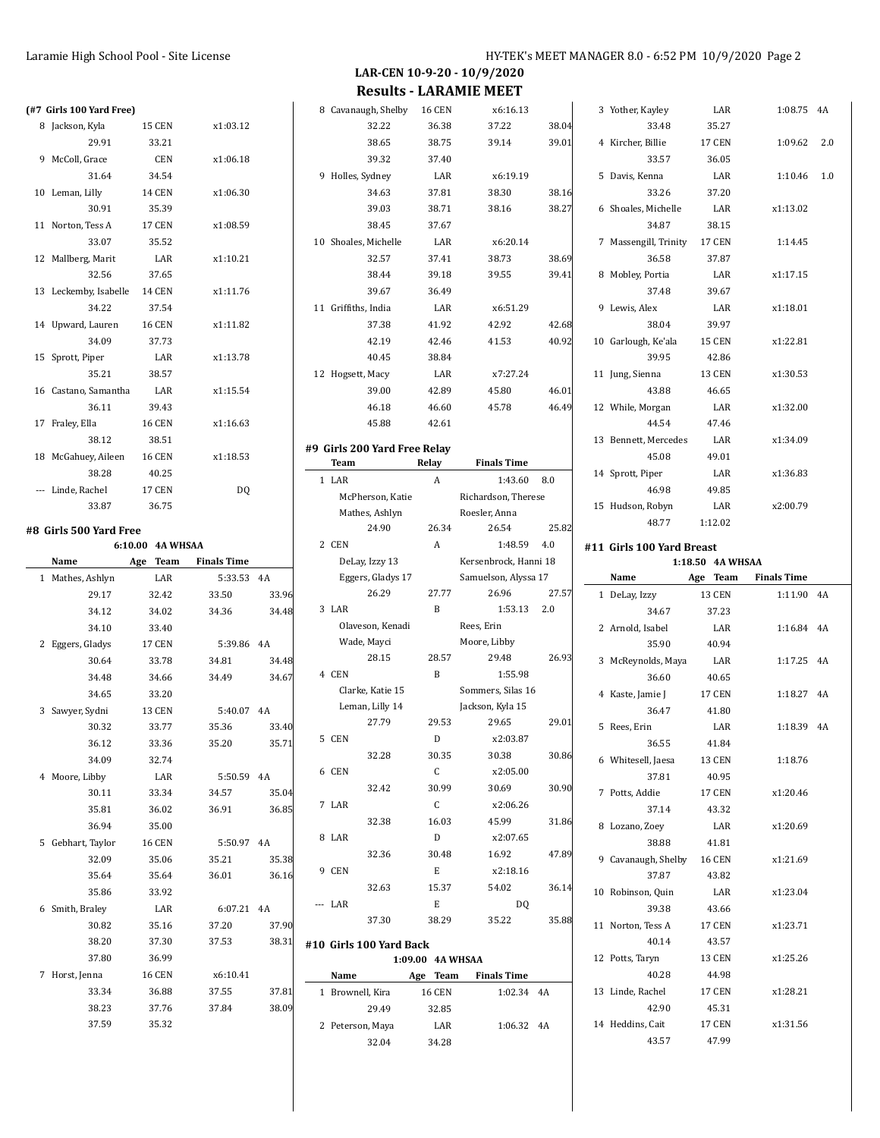**LAR-CEN 10-9-20 - 10/9/2020 Results - LARAMIE MEET**

| (#7 Girls 100 Yard Free) |                  |                    |                |          | 8 Cay  |
|--------------------------|------------------|--------------------|----------------|----------|--------|
| 8 Jackson, Kyla          | <b>15 CEN</b>    | x1:03.12           |                |          |        |
| 29.91                    | 33.21            |                    |                |          |        |
| 9 McColl, Grace          | CEN              | x1:06.18           |                |          |        |
| 31.64                    | 34.54            |                    |                |          | 9 Hol  |
| 10 Leman, Lilly          | 14 CEN           | x1:06.30           |                |          |        |
| 30.91                    | 35.39            |                    |                |          |        |
| 11 Norton, Tess A        | 17 CEN           | x1:08.59           |                |          |        |
| 33.07                    | 35.52            |                    |                |          | 10 Sho |
| 12 Mallberg, Marit       | LAR              | x1:10.21           |                |          |        |
| 32.56                    | 37.65            |                    |                |          |        |
| 13 Leckemby, Isabelle    | 14 CEN           | x1:11.76           |                |          |        |
| 34.22                    | 37.54            |                    |                |          | 11 Gri |
| 14 Upward, Lauren        | <b>16 CEN</b>    | x1:11.82           |                |          |        |
| 34.09                    | 37.73            |                    |                |          |        |
| 15 Sprott, Piper         | LAR              | x1:13.78           |                |          |        |
| 35.21                    | 38.57            |                    |                |          | 12 Hop |
| 16 Castano, Samantha     | LAR              | x1:15.54           |                |          |        |
| 36.11                    | 39.43            |                    |                |          |        |
| 17 Fraley, Ella          | <b>16 CEN</b>    | x1:16.63           |                |          |        |
| 38.12                    | 38.51            |                    |                | #9 Girls |        |
| 18 McGahuey, Aileen      | <b>16 CEN</b>    | x1:18.53           |                |          | Tea    |
| 38.28                    | 40.25            |                    |                | 1        | LAI    |
| --- Linde, Rachel        | 17 CEN           | DQ                 |                |          | Ν      |
| 33.87                    | 36.75            |                    |                |          | Ν      |
| #8 Girls 500 Yard Free   |                  |                    |                |          |        |
|                          | 6:10.00 4A WHSAA |                    |                |          | 2 CEI  |
|                          |                  |                    |                |          |        |
| Name                     | Age Team         | <b>Finals Time</b> |                |          | Г      |
| 1 Mathes, Ashlyn         | LAR              | 5:33.53            | 4A             |          | E      |
| 29.17                    | 32.42            | 33.50              | 33.96          |          |        |
| 34.12                    | 34.02            | 34.36              | 34.48          |          | 3 LAI  |
| 34.10                    | 33.40            |                    |                |          | C      |
| 2 Eggers, Gladys         | <b>17 CEN</b>    | 5:39.86            | 4A             |          | V      |
| 30.64                    | 33.78            | 34.81              | 34.48          |          |        |
| 34.48                    | 34.66            | 34.49              | 34.67          |          | 4 CEI  |
| 34.65                    | 33.20            |                    |                |          | C      |
| 3 Sawyer, Sydni          | <b>13 CEN</b>    | 5:40.07 4A         |                |          | L      |
| 30.32                    | 33.77            | 35.36              | 33.40          |          |        |
| 36.12                    | 33.36            | 35.20              | 35.71          |          | 5 CEI  |
| 34.09                    | 32.74            |                    |                |          |        |
| 4 Moore, Libby           | LAR              | 5:50.59            | 4A             |          | 6 CEI  |
| 30.11                    | 33.34            | 34.57              | 35.04          |          |        |
| 35.81                    | 36.02            | 36.91              | 36.85          | 7        | LAI    |
| 36.94                    | 35.00            |                    |                |          |        |
| 5 Gebhart, Taylor        | <b>16 CEN</b>    | 5:50.97            | 4A             |          | 8 LAI  |
| 32.09                    | 35.06            | 35.21              | 35.38          |          |        |
| 35.64                    | 35.64            | 36.01              | 36.16          |          | 9 CEI  |
| 35.86                    | 33.92            |                    |                |          |        |
| 6 Smith, Braley          | LAR              | 6:07.21            | 4A             |          | LAI    |
| 30.82                    | 35.16            | 37.20              | 37.90          |          |        |
| 38.20                    | 37.30            | 37.53              | 38.31          | #10 Gir  |        |
| 37.80                    | 36.99            |                    |                |          |        |
| 7 Horst, Jenna           | <b>16 CEN</b>    | x6:10.41           |                |          | Nai    |
| 33.34<br>38.23           | 36.88<br>37.76   | 37.55<br>37.84     | 37.81<br>38.09 |          | 1 Bro  |

37.59 35.32

| 8  |                  | Cavanaugh, Shelby                   | <b>16 CEN</b>    | x6:16.13                              |       |
|----|------------------|-------------------------------------|------------------|---------------------------------------|-------|
|    |                  | 32.22                               | 36.38            | 37.22                                 | 38.04 |
|    |                  | 38.65                               | 38.75            | 39.14                                 | 39.01 |
|    |                  | 39.32                               | 37.40            |                                       |       |
| 9  | Holles, Sydney   |                                     | LAR              | x6:19.19                              |       |
|    |                  | 34.63                               | 37.81            | 38.30                                 | 38.16 |
|    |                  | 39.03                               | 38.71            | 38.16                                 | 38.27 |
|    |                  | 38.45                               | 37.67            |                                       |       |
|    |                  | 10 Shoales, Michelle                | LAR              | x6:20.14                              |       |
|    |                  | 32.57                               | 37.41            | 38.73                                 | 38.69 |
|    |                  | 38.44                               | 39.18            | 39.55                                 | 39.41 |
|    |                  | 39.67                               | 36.49            |                                       |       |
| 11 | Griffiths, India |                                     | LAR              | x6:51.29                              |       |
|    |                  | 37.38                               | 41.92            | 42.92                                 | 42.68 |
|    |                  | 42.19                               | 42.46            | 41.53                                 | 40.92 |
|    |                  | 40.45                               | 38.84            |                                       |       |
|    | 12 Hogsett, Macy |                                     | LAR              | x7:27.24                              |       |
|    |                  | 39.00                               | 42.89            | 45.80                                 | 46.01 |
|    |                  | 46.18                               | 46.60            | 45.78                                 | 46.49 |
|    |                  | 45.88                               | 42.61            |                                       |       |
|    |                  | #9  Girls 200 Yard Free Relay       |                  |                                       |       |
|    | Team             |                                     | Relay            | <b>Finals Time</b>                    |       |
| 1  | LAR              |                                     | A                | 1:43.60                               | 8.0   |
|    |                  | McPherson, Katie                    |                  | Richardson, Therese                   |       |
|    |                  | Mathes, Ashlyn                      |                  | Roesler, Anna                         |       |
|    |                  | 24.90                               | 26.34            | 26.54                                 | 25.82 |
|    | 2 CEN            |                                     | A                | 1:48.59                               | 4.0   |
|    |                  | DeLay, Izzy 13                      |                  | Kersenbrock, Hanni 18                 |       |
|    |                  | Eggers, Gladys 17                   |                  | Samuelson, Alyssa 17                  |       |
|    |                  | 26.29                               | 27.77            | 26.96                                 | 27.57 |
| 3  | LAR              |                                     | B                | 1:53.13                               | 2.0   |
|    |                  | Olaveson, Kenadi                    |                  | Rees, Erin                            |       |
|    |                  | Wade, Mayci                         |                  | Moore, Libby                          |       |
|    |                  | 28.15                               | 28.57            | 29.48                                 | 26.93 |
|    | 4 CEN            |                                     | B                | 1:55.98                               |       |
|    |                  | Clarke, Katie 15<br>Leman, Lilly 14 |                  | Sommers, Silas 16<br>Jackson, Kyla 15 |       |
|    |                  | 27.79                               | 29.53            | 29.65                                 | 29.01 |
| 5  | CEN              |                                     | D                | x2:03.87                              |       |
|    |                  | 32.28                               | 30.35            | 30.38                                 | 30.86 |
|    | 6 CEN            |                                     | C                | x2:05.00                              |       |
|    |                  | 32.42                               | 30.99            | 30.69                                 | 30.90 |
|    | 7 LAR            |                                     | C                | x2:06.26                              |       |
|    |                  | 32.38                               | 16.03            | 45.99                                 | 31.86 |
|    | 8 LAR            |                                     | D                | x2:07.65                              |       |
|    |                  | 32.36                               | 30.48            | 16.92                                 | 47.89 |
|    | 9 CEN            |                                     | Е                | x2:18.16                              |       |
|    |                  | 32.63                               | 15.37            | 54.02                                 | 36.14 |
|    | --- LAR          |                                     | Е                | D <sub>0</sub>                        |       |
|    |                  | 37.30                               | 38.29            | 35.22                                 | 35.88 |
|    |                  |                                     |                  |                                       |       |
|    |                  | #10 Girls 100 Yard Back             | 1:09.00 4A WHSAA |                                       |       |
|    |                  |                                     |                  |                                       |       |

|                       |                            |                    |       |    | הרלר.            | 40.00         |          |
|-----------------------|----------------------------|--------------------|-------|----|------------------|---------------|----------|
| 37.30                 | 38.29                      | 35.22              | 35.88 | 11 | Norton, Tess A   | <b>17 CEN</b> | x1:23.71 |
| 0 Girls 100 Yard Back |                            |                    |       |    | 40.14            | 43.57         |          |
|                       | <b>4A WHSAA</b><br>1:09.00 |                    |       |    | 12 Potts, Taryn  | <b>13 CEN</b> | x1:25.26 |
| Name                  | Age Team                   | <b>Finals Time</b> |       |    | 40.28            | 44.98         |          |
| 1 Brownell, Kira      | <b>16 CEN</b>              | 1:02.34 4A         |       |    | 13 Linde. Rachel | <b>17 CEN</b> | x1:28.21 |
| 29.49                 | 32.85                      |                    |       |    | 42.90            | 45.31         |          |
| 2 Peterson, Maya      | LAR                        | 1:06.32 4A         |       |    | 14 Heddins, Cait | <b>17 CEN</b> | x1:31.56 |
| 32.04                 | 34.28                      |                    |       |    | 43.57            | 47.99         |          |
|                       |                            |                    |       |    |                  |               |          |

|                  | 3 | Yother, Kayley            | LAR              | 1:08.75            | 4A  |
|------------------|---|---------------------------|------------------|--------------------|-----|
| 4                |   | 33.48                     | 35.27            |                    |     |
| $\mathbf{1}$     | 4 | Kircher, Billie           | 17 CEN           | 1:09.62            | 2.0 |
|                  |   | 33.57                     | 36.05            |                    |     |
|                  | 5 | Davis, Kenna              | LAR              | 1:10.46            | 1.0 |
| 6                |   | 33.26                     | 37.20            |                    |     |
| 7                | 6 | Shoales, Michelle         | LAR              | x1:13.02           |     |
|                  |   | 34.87                     | 38.15            |                    |     |
|                  | 7 | Massengill, Trinity       | 17 CEN           | 1:14.45            |     |
| 9                |   | 36.58                     | 37.87            |                    |     |
| $\mathbf{1}$     | 8 | Mobley, Portia            | LAR              | x1:17.15           |     |
|                  |   | 37.48                     | 39.67            |                    |     |
|                  | 9 | Lewis, Alex               | LAR              | x1:18.01           |     |
| 8                |   | 38.04                     | 39.97            |                    |     |
| $\overline{c}$   |   | 10 Garlough, Ke'ala       | 15 CEN           | x1:22.81           |     |
|                  |   | 39.95                     | 42.86            |                    |     |
|                  |   | 11 Jung, Sienna           | <b>13 CEN</b>    | x1:30.53           |     |
| 1                |   | 43.88                     | 46.65            |                    |     |
| 9                |   | 12 While, Morgan          | LAR              | x1:32.00           |     |
|                  |   | 44.54                     | 47.46            |                    |     |
|                  |   | 13 Bennett, Mercedes      | LAR              | x1:34.09           |     |
|                  |   | 45.08                     | 49.01            |                    |     |
|                  |   | 14 Sprott, Piper          | LAR              | x1:36.83           |     |
|                  |   | 46.98                     | 49.85            |                    |     |
|                  |   | 15 Hudson, Robyn          | LAR              | x2:00.79           |     |
| $\overline{c}$   |   | 48.77                     | 1:12.02          |                    |     |
|                  |   | #11 Girls 100 Yard Breast |                  |                    |     |
|                  |   |                           | 1:18.50 4A WHSAA |                    |     |
|                  |   | Name                      | Age Team         | <b>Finals Time</b> |     |
| 7                | 1 | DeLay, Izzy               | 13 CEN           | 1:11.90            | 4A  |
|                  |   | 34.67                     | 37.23            |                    |     |
|                  |   | 2 Arnold, Isabel          | LAR              | 1:16.84            | 4A  |
|                  |   | 35.90                     | 40.94            |                    |     |
| 3                | 3 | McReynolds, Maya          | LAR              | 1:17.25            | 4A  |
|                  |   | 36.60                     | 40.65            |                    |     |
|                  | 4 | Kaste, Jamie J            | <b>17 CEN</b>    | 1:18.27            | 4A  |
|                  |   | 36.47                     | 41.80            |                    |     |
| $\mathbf{1}$     | 5 | Rees, Erin                | LAR              | 1:18.39            | 4A  |
|                  |   | 36.55                     | 41.84            |                    |     |
| 6                | 6 | Whitesell, Jaesa          | 13 CEN           | 1:18.76            |     |
|                  |   | 37.81                     | 40.95            |                    |     |
| $\boldsymbol{0}$ | 7 | Potts, Addie              | <b>17 CEN</b>    | x1:20.46           |     |

37.14 43.32 8 Lozano, Zoey LAR x1:20.69 38.88 41.81 9 Cavanaugh, Shelby 16 CEN x1:21.69 37.87 43.82 10 Robinson, Quin LAR x1:23.04 39.38 43.66